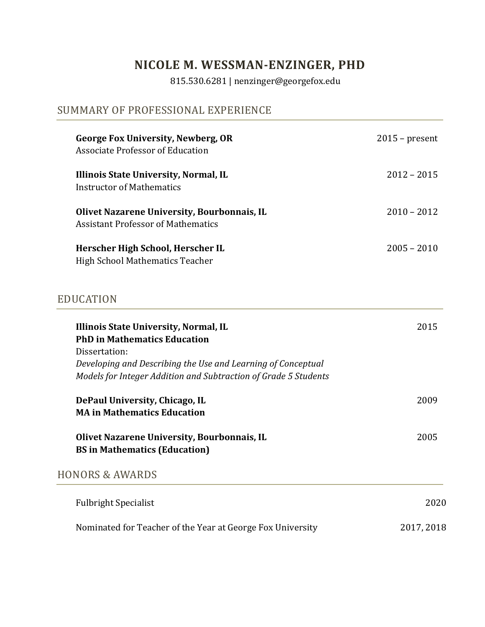# **NICOLE M. WESSMAN-ENZINGER, PHD**

815.530.6281 | nenzinger@georgefox.edu

## SUMMARY OF PROFESSIONAL EXPERIENCE

| George Fox University, Newberg, OR<br>Associate Professor of Education                   | $2015$ – present |
|------------------------------------------------------------------------------------------|------------------|
| Illinois State University, Normal, IL<br>Instructor of Mathematics                       | $2012 - 2015$    |
| Olivet Nazarene University, Bourbonnais, IL<br><b>Assistant Professor of Mathematics</b> | $2010 - 2012$    |
| Herscher High School, Herscher IL<br><b>High School Mathematics Teacher</b>              | $2005 - 2010$    |

## EDUCATION

| Illinois State University, Normal, IL<br><b>PhD in Mathematics Education</b>                                                                     | 2015       |
|--------------------------------------------------------------------------------------------------------------------------------------------------|------------|
| Dissertation:<br>Developing and Describing the Use and Learning of Conceptual<br>Models for Integer Addition and Subtraction of Grade 5 Students |            |
| DePaul University, Chicago, IL<br><b>MA in Mathematics Education</b>                                                                             | 2009       |
| Olivet Nazarene University, Bourbonnais, IL<br><b>BS</b> in Mathematics (Education)                                                              | 2005       |
| HONORS & AWARDS                                                                                                                                  |            |
| <b>Fulbright Specialist</b>                                                                                                                      | 2020       |
| Nominated for Teacher of the Year at George Fox University                                                                                       | 2017, 2018 |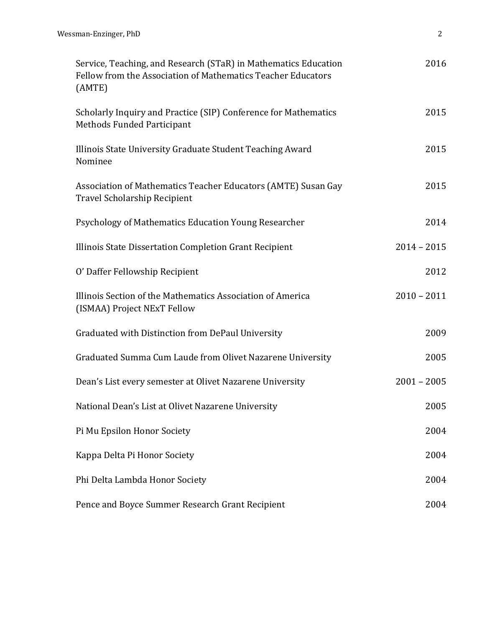| Service, Teaching, and Research (STaR) in Mathematics Education<br>Fellow from the Association of Mathematics Teacher Educators<br>(AMTE) | 2016          |
|-------------------------------------------------------------------------------------------------------------------------------------------|---------------|
| Scholarly Inquiry and Practice (SIP) Conference for Mathematics<br><b>Methods Funded Participant</b>                                      | 2015          |
| Illinois State University Graduate Student Teaching Award<br>Nominee                                                                      | 2015          |
| Association of Mathematics Teacher Educators (AMTE) Susan Gay<br><b>Travel Scholarship Recipient</b>                                      | 2015          |
| Psychology of Mathematics Education Young Researcher                                                                                      | 2014          |
| Illinois State Dissertation Completion Grant Recipient                                                                                    | $2014 - 2015$ |
| O' Daffer Fellowship Recipient                                                                                                            | 2012          |
| Illinois Section of the Mathematics Association of America<br>(ISMAA) Project NExT Fellow                                                 | $2010 - 2011$ |
| Graduated with Distinction from DePaul University                                                                                         | 2009          |
| Graduated Summa Cum Laude from Olivet Nazarene University                                                                                 | 2005          |
| Dean's List every semester at Olivet Nazarene University                                                                                  | $2001 - 2005$ |
| National Dean's List at Olivet Nazarene University                                                                                        | 2005          |
| Pi Mu Epsilon Honor Society                                                                                                               | 2004          |
| Kappa Delta Pi Honor Society                                                                                                              | 2004          |
| Phi Delta Lambda Honor Society                                                                                                            | 2004          |
| Pence and Boyce Summer Research Grant Recipient                                                                                           | 2004          |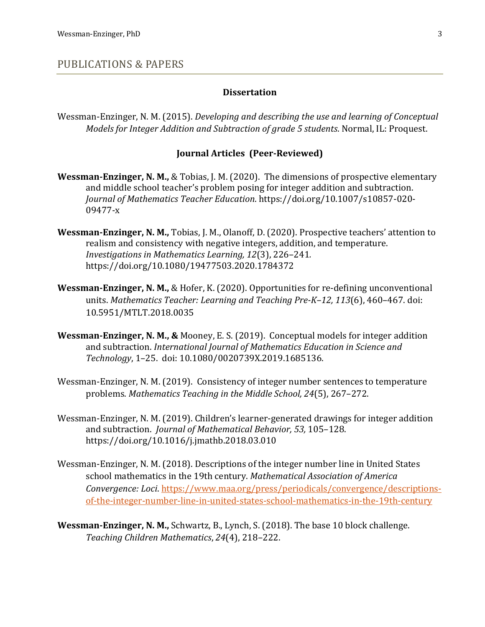#### PUBLICATIONS & PAPERS

#### **Dissertation**

Wessman-Enzinger, N. M. (2015). *Developing and describing the use and learning of Conceptual Models for Integer Addition and Subtraction of grade 5 students.* Normal, IL: Proquest.

#### **Journal Articles (Peer-Reviewed)**

- **Wessman-Enzinger, N. M., & Tobias, J. M. (2020).** The dimensions of prospective elementary and middle school teacher's problem posing for integer addition and subtraction. *Journal of Mathematics Teacher Education*. https://doi.org/10.1007/s10857-020- 09477-x
- **Wessman-Enzinger, N. M.,** Tobias, J. M., Olanoff, D. (2020). Prospective teachers' attention to realism and consistency with negative integers, addition, and temperature. *Investigations in Mathematics Learning, 12*(3), 226-241. https://doi.org/10.1080/19477503.2020.1784372
- **Wessman-Enzinger, N. M., & Hofer, K. (2020).** Opportunities for re-defining unconventional units. *Mathematics Teacher: Learning and Teaching Pre-K-12, 113*(6), 460-467. doi: 10.5951/MTLT.2018.0035
- **Wessman-Enzinger, N. M., &** Mooney, E. S. (2019). Conceptual models for integer addition and subtraction. International Journal of Mathematics Education in Science and *Technology*, 1–25. doi: 10.1080/0020739X.2019.1685136.
- Wessman-Enzinger, N. M. (2019). Consistency of integer number sentences to temperature problems. *Mathematics Teaching in the Middle School, 24*(5), 267-272.
- Wessman-Enzinger, N. M. (2019). Children's learner-generated drawings for integer addition and subtraction. *Journal of Mathematical Behavior*, 53, 105-128. https://doi.org/10.1016/j.jmathb.2018.03.010
- Wessman-Enzinger, N. M. (2018). Descriptions of the integer number line in United States school mathematics in the 19th century. *Mathematical Association of America Convergence: Loci. https://www.maa.org/press/periodicals/convergence/descriptions*of-the-integer-number-line-in-united-states-school-mathematics-in-the-19th-century
- **Wessman-Enzinger, N. M.,** Schwartz, B., Lynch, S. (2018). The base 10 block challenge. *Teaching Children Mathematics*, *24*(4), 218–222.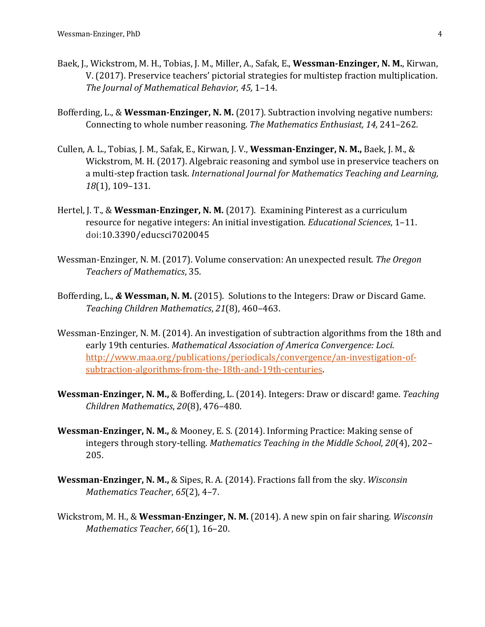- Baek, J., Wickstrom, M. H., Tobias, J. M., Miller, A., Safak, E., Wessman-Enzinger, N. M., Kirwan, V. (2017). Preservice teachers' pictorial strategies for multistep fraction multiplication. The *Journal of Mathematical Behavior, 45, 1-14.*
- Bofferding, L., & Wessman-Enzinger, N. M. (2017). Subtraction involving negative numbers: Connecting to whole number reasoning. The Mathematics Enthusiast, 14, 241-262.
- Cullen, A. L., Tobias, J. M., Safak, E., Kirwan, J. V., Wessman-Enzinger, N. M., Baek, J. M., & Wickstrom, M. H. (2017). Algebraic reasoning and symbol use in preservice teachers on a multi-step fraction task. *International Journal for Mathematics Teaching and Learning,* 18(1), 109-131.
- Hertel, J. T., & Wessman-Enzinger, N. M. (2017). Examining Pinterest as a curriculum resource for negative integers: An initial investigation. *Educational Sciences*, 1-11. doi:10.3390/educsci7020045
- Wessman-Enzinger, N. M. (2017). Volume conservation: An unexpected result. The Oregon *Teachers of Mathematics*, 35.
- Bofferding, L., & Wessman, N. M. (2015). Solutions to the Integers: Draw or Discard Game. *Teaching Children Mathematics*, *21*(8), 460–463.
- Wessman-Enzinger, N. M. (2014). An investigation of subtraction algorithms from the 18th and early 19th centuries. Mathematical Association of America Convergence: Loci. http://www.maa.org/publications/periodicals/convergence/an-investigation-ofsubtraction-algorithms-from-the-18th-and-19th-centuries.
- **Wessman-Enzinger, N. M., & Bofferding, L. (2014).** Integers: Draw or discard! game. *Teaching Children Mathematics*, *20*(8), 476–480.
- **Wessman-Enzinger, N. M., & Mooney, E. S. (2014). Informing Practice: Making sense of** integers through story-telling. Mathematics Teaching in the Middle School, 20(4), 202-205.
- **Wessman-Enzinger, N. M., & Sipes, R. A. (2014).** Fractions fall from the sky. *Wisconsin Mathematics Teacher*, 65(2), 4-7.
- Wickstrom, M. H., & Wessman-Enzinger, N. M. (2014). A new spin on fair sharing. Wisconsin *Mathematics Teacher*,  $66(1)$ , 16-20.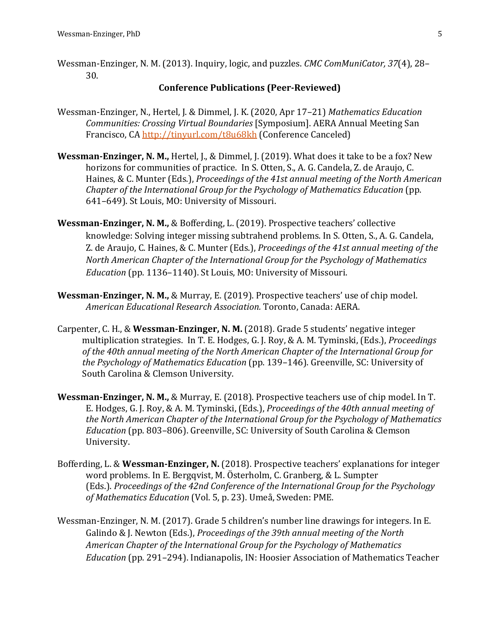Wessman-Enzinger, N. M. (2013). Inquiry, logic, and puzzles. *CMC ComMuniCator, 37*(4), 28– 30. 

#### **Conference Publications (Peer-Reviewed)**

- Wessman-Enzinger, N., Hertel, J. & Dimmel, J. K. (2020, Apr 17-21) *Mathematics Education Communities: Crossing Virtual Boundaries* [Symposium]. AERA Annual Meeting San Francisco, CA http://tinyurl.com/t8u68kh (Conference Canceled)
- **Wessman-Enzinger, N. M., Hertel, J., & Dimmel, J. (2019). What does it take to be a fox? New** horizons for communities of practice. In S. Otten, S., A. G. Candela, Z. de Araujo, C. Haines, & C. Munter (Eds.), *Proceedings of the 41st annual meeting of the North American Chapter of the International Group for the Psychology of Mathematics Education* (pp. 641-649). St Louis, MO: University of Missouri.
- **Wessman-Enzinger, N. M., & Bofferding, L. (2019). Prospective teachers' collective** knowledge: Solving integer missing subtrahend problems. In S. Otten, S., A. G. Candela, Z. de Araujo, C. Haines, & C. Munter (Eds.), *Proceedings of the 41st annual meeting of the North American Chapter of the International Group for the Psychology of Mathematics Education* (pp. 1136–1140). St Louis, MO: University of Missouri.
- **Wessman-Enzinger, N. M., & Murray, E.** (2019). Prospective teachers' use of chip model. *American Educational Research Association.* Toronto, Canada: AERA.
- Carpenter, C. H., & Wessman-Enzinger, N. M. (2018). Grade 5 students' negative integer multiplication strategies. In T. E. Hodges, G. J. Roy, & A. M. Tyminski, (Eds.), *Proceedings* of the 40th annual meeting of the North American Chapter of the International Group for *the Psychology of Mathematics Education* (pp. 139–146). Greenville, SC: University of South Carolina & Clemson University.
- **Wessman-Enzinger, N. M., & Murray, E. (2018). Prospective teachers use of chip model. In T.** E. Hodges, G. J. Roy, & A. M. Tyminski, (Eds.), *Proceedings of the 40th annual meeting of the North American Chapter of the International Group for the Psychology of Mathematics Education* (pp. 803-806). Greenville, SC: University of South Carolina & Clemson University.
- Bofferding, L. & Wessman-Enzinger, N. (2018). Prospective teachers' explanations for integer word problems. In E. Bergqvist, M. Österholm, C. Granberg, & L. Sumpter (Eds.). *Proceedings of the 42nd Conference of the International Group for the Psychology* of Mathematics Education (Vol. 5, p. 23). Umeå, Sweden: PME.
- Wessman-Enzinger, N. M. (2017). Grade 5 children's number line drawings for integers. In E. Galindo & J. Newton (Eds.), *Proceedings of the 39th annual meeting of the North* American Chapter of the International Group for the Psychology of Mathematics *Education* (pp. 291–294). Indianapolis, IN: Hoosier Association of Mathematics Teacher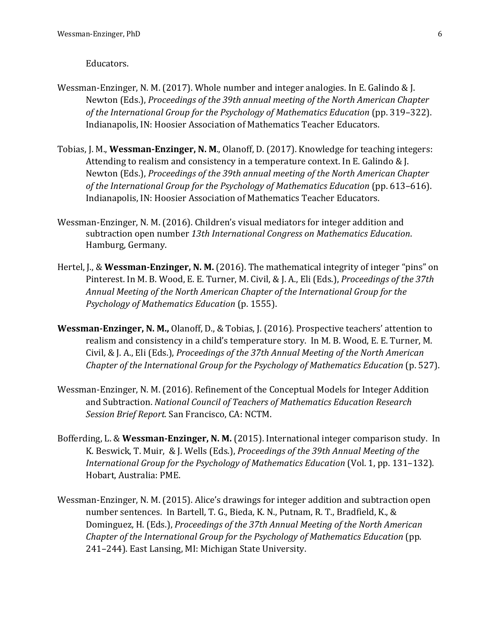#### Educators.

- Wessman-Enzinger, N. M. (2017). Whole number and integer analogies. In E. Galindo & J. Newton (Eds.), Proceedings of the 39th annual meeting of the North American Chapter of the International Group for the Psychology of Mathematics Education (pp. 319–322). Indianapolis, IN: Hoosier Association of Mathematics Teacher Educators.
- Tobias, J. M., **Wessman-Enzinger, N. M.**, Olanoff, D. (2017). Knowledge for teaching integers: Attending to realism and consistency in a temperature context. In E. Galindo  $&$  J. Newton (Eds.), *Proceedings of the 39th annual meeting of the North American Chapter* of the International Group for the Psychology of Mathematics Education (pp. 613–616). Indianapolis, IN: Hoosier Association of Mathematics Teacher Educators.
- Wessman-Enzinger, N. M. (2016). Children's visual mediators for integer addition and subtraction open number 13th International Congress on Mathematics Education. Hamburg, Germany.
- Hertel, J., & Wessman-Enzinger, N. M. (2016). The mathematical integrity of integer "pins" on Pinterest. In M. B. Wood, E. E. Turner, M. Civil, & J. A., Eli (Eds.), *Proceedings of the 37th* Annual Meeting of the North American Chapter of the International Group for the *Psychology of Mathematics Education* (p. 1555).
- **Wessman-Enzinger, N. M., Olanoff, D., & Tobias, J. (2016). Prospective teachers' attention to** realism and consistency in a child's temperature story. In M. B. Wood, E. E. Turner, M. Civil, & J. A., Eli (Eds.), *Proceedings of the 37th Annual Meeting of the North American Chapter of the International Group for the Psychology of Mathematics Education* (p. 527).
- Wessman-Enzinger, N. M. (2016). Refinement of the Conceptual Models for Integer Addition and Subtraction. National Council of Teachers of Mathematics Education Research *Session Brief Report.* San Francisco, CA: NCTM.
- Bofferding, L. & Wessman-Enzinger, N. M. (2015). International integer comparison study. In K. Beswick, T. Muir, & J. Wells (Eds.), *Proceedings of the 39th Annual Meeting of the International Group for the Psychology of Mathematics Education* (Vol. 1, pp. 131–132). Hobart, Australia: PME.
- Wessman-Enzinger, N. M. (2015). Alice's drawings for integer addition and subtraction open number sentences. In Bartell, T. G., Bieda, K. N., Putnam, R. T., Bradfield, K., & Dominguez, H. (Eds.), *Proceedings of the 37th Annual Meeting of the North American Chapter of the International Group for the Psychology of Mathematics Education* (pp. 241–244). East Lansing, MI: Michigan State University.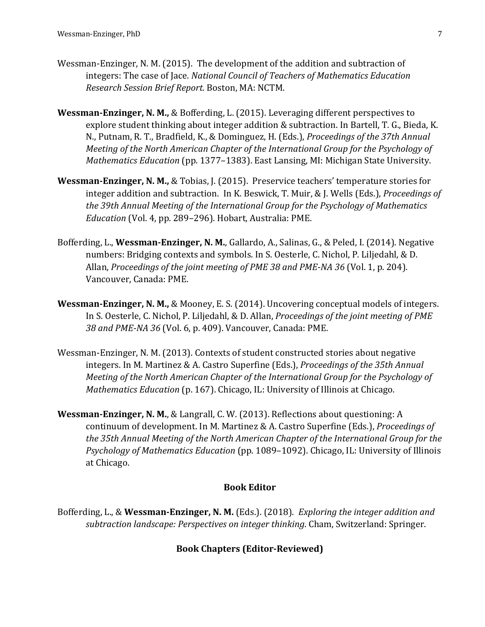- Wessman-Enzinger, N. M. (2015). The development of the addition and subtraction of integers: The case of Jace. *National Council of Teachers of Mathematics Education Research Session Brief Report.* Boston, MA: NCTM.
- **Wessman-Enzinger, N. M., & Bofferding, L. (2015).** Leveraging different perspectives to explore student thinking about integer addition & subtraction. In Bartell, T. G., Bieda, K. N., Putnam, R. T., Bradfield, K., & Dominguez, H. (Eds.), *Proceedings of the 37th Annual Meeting of the North American Chapter of the International Group for the Psychology of Mathematics Education* (pp. 1377–1383). East Lansing, MI: Michigan State University.
- **Wessman-Enzinger, N. M., & Tobias, J. (2015).** Preservice teachers' temperature stories for integer addition and subtraction. In K. Beswick, T. Muir, & J. Wells (Eds.), *Proceedings of* the 39th Annual Meeting of the International Group for the Psychology of Mathematics *Education* (Vol. 4, pp. 289-296). Hobart, Australia: PME.
- Bofferding, L., Wessman-Enzinger, N. M., Gallardo, A., Salinas, G., & Peled, I. (2014). Negative numbers: Bridging contexts and symbols. In S. Oesterle, C. Nichol, P. Liljedahl, & D. Allan, *Proceedings of the joint meeting of PME 38 and PME-NA 36* (Vol. 1, p. 204). Vancouver, Canada: PME.
- **Wessman-Enzinger, N. M., & Mooney, E. S. (2014).** Uncovering conceptual models of integers. In S. Oesterle, C. Nichol, P. Liljedahl, & D. Allan, *Proceedings of the joint meeting of PME* 38 and PME-NA 36 (Vol. 6, p. 409). Vancouver, Canada: PME.
- Wessman-Enzinger, N. M. (2013). Contexts of student constructed stories about negative integers. In M. Martinez & A. Castro Superfine (Eds.), *Proceedings of the 35th Annual Meeting of the North American Chapter of the International Group for the Psychology of Mathematics Education* (p. 167). Chicago, IL: University of Illinois at Chicago.
- **Wessman-Enzinger, N. M., & Langrall, C. W. (2013). Reflections about questioning: A** continuum of development. In M. Martinez & A. Castro Superfine (Eds.), *Proceedings of* the 35th Annual Meeting of the North American Chapter of the International Group for the *Psychology of Mathematics Education* (pp. 1089–1092). Chicago, IL: University of Illinois at Chicago.

#### **Book Editor**

Bofferding, L., & Wessman-Enzinger, N. M. (Eds.). (2018). *Exploring the integer addition and* subtraction *landscape: Perspectives on integer thinking*. Cham, Switzerland: Springer.

#### **Book Chapters (Editor-Reviewed)**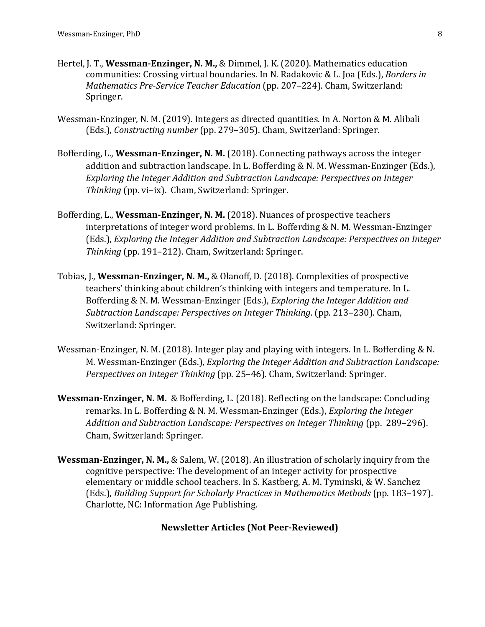- Hertel, J. T., **Wessman-Enzinger, N. M.,** & Dimmel, J. K. (2020). Mathematics education communities: Crossing virtual boundaries. In N. Radakovic & L. Joa (Eds.), *Borders in Mathematics Pre-Service Teacher Education* (pp. 207–224). Cham, Switzerland: Springer.
- Wessman-Enzinger, N. M. (2019). Integers as directed quantities. In A. Norton & M. Alibali (Eds.), *Constructing number* (pp. 279-305). Cham, Switzerland: Springer.
- Bofferding, L., **Wessman-Enzinger, N. M.** (2018). Connecting pathways across the integer addition and subtraction landscape. In L. Bofferding & N. M. Wessman-Enzinger (Eds.), *Exploring the Integer Addition and Subtraction Landscape: Perspectives on Integer Thinking* (pp. vi-ix). Cham, Switzerland: Springer.
- Bofferding, L., Wessman-Enzinger, N. M. (2018). Nuances of prospective teachers interpretations of integer word problems. In L. Bofferding & N. M. Wessman-Enzinger (Eds.), *Exploring the Integer Addition and Subtraction Landscape: Perspectives on Integer* Thinking (pp. 191-212). Cham, Switzerland: Springer.
- Tobias, I., Wessman-Enzinger, N. M., & Olanoff, D. (2018). Complexities of prospective teachers' thinking about children's thinking with integers and temperature. In L. Bofferding & N. M. Wessman-Enzinger (Eds.), *Exploring the Integer Addition and Subtraction Landscape: Perspectives on Integer Thinking.* (pp. 213–230). Cham, Switzerland: Springer.
- Wessman-Enzinger, N. M. (2018). Integer play and playing with integers. In L. Bofferding  $& N$ . M. Wessman-Enzinger (Eds.), *Exploring the Integer Addition and Subtraction Landscape: Perspectives on Integer Thinking* (pp. 25-46). Cham, Switzerland: Springer.
- **Wessman-Enzinger, N. M.** & Bofferding, L. (2018). Reflecting on the landscape: Concluding remarks. In L. Bofferding & N. M. Wessman-Enzinger (Eds.), *Exploring the Integer Addition and Subtraction Landscape: Perspectives on Integer Thinking* (pp. 289–296). Cham, Switzerland: Springer.
- **Wessman-Enzinger, N. M., & Salem, W. (2018). An illustration of scholarly inquiry from the** cognitive perspective: The development of an integer activity for prospective elementary or middle school teachers. In S. Kastberg, A. M. Tyminski, & W. Sanchez (Eds.), *Building Support for Scholarly Practices in Mathematics Methods* (pp. 183–197). Charlotte, NC: Information Age Publishing.

#### **Newsletter Articles (Not Peer-Reviewed)**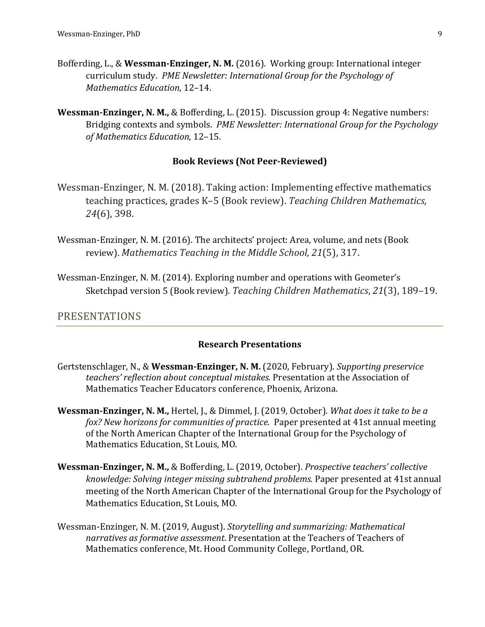- Bofferding, L., & Wessman-Enzinger, N. M. (2016). Working group: International integer curriculum study. PME Newsletter: International Group for the Psycholoav of *Mathematics Education*, 12–14.
- **Wessman-Enzinger, N. M., & Bofferding, L. (2015).** Discussion group 4: Negative numbers: Bridging contexts and symbols. *PME Newsletter: International Group for the Psychology of Mathematics Education*, 12–15.

#### **Book Reviews (Not Peer-Reviewed)**

- Wessman-Enzinger, N. M. (2018). Taking action: Implementing effective mathematics teaching practices, grades K-5 (Book review). Teaching Children Mathematics, 24(6), 398.
- Wessman-Enzinger, N. M. (2016). The architects' project: Area, volume, and nets (Book review). Mathematics Teaching in the Middle School, 21(5), 317.
- Wessman-Enzinger, N. M. (2014). Exploring number and operations with Geometer's Sketchpad version 5 (Book review). Teaching Children Mathematics, 21(3), 189-19.

### PRESENTATIONS

#### **Research Presentations**

- Gertstenschlager, N., & Wessman-Enzinger, N. M. (2020, February). Supporting preservice teachers' reflection about conceptual mistakes. Presentation at the Association of Mathematics Teacher Educators conference, Phoenix, Arizona.
- **Wessman-Enzinger, N. M., Hertel, J., & Dimmel, J. (2019, October).** *What does it take to be a fox? New horizons for communities of practice.* Paper presented at 41st annual meeting of the North American Chapter of the International Group for the Psychology of Mathematics Education, St Louis, MO.
- **Wessman-Enzinger, N. M., & Bofferding, L. (2019, October).** *Prospective teachers' collective knowledge: Solving integer missing subtrahend problems. Paper presented at 41st annual* meeting of the North American Chapter of the International Group for the Psychology of Mathematics Education, St Louis, MO.
- Wessman-Enzinger, N. M. (2019, August). *Storytelling and summarizing: Mathematical* narratives as formative assessment. Presentation at the Teachers of Teachers of Mathematics conference, Mt. Hood Community College, Portland, OR.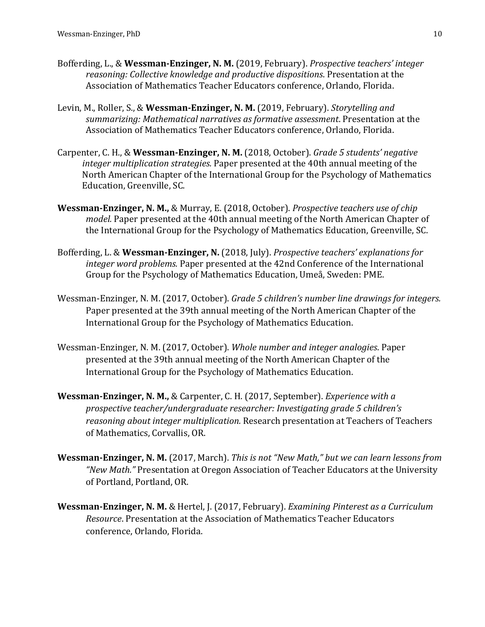- Bofferding, L., & Wessman-Enzinger, N. M. (2019, February). *Prospective teachers'* integer *reasoning: Collective knowledge and productive dispositions.* Presentation at the Association of Mathematics Teacher Educators conference, Orlando, Florida.
- Levin, M., Roller, S., & Wessman-Enzinger, N. M. (2019, February). *Storytelling and* summarizing: Mathematical narratives as formative assessment. Presentation at the Association of Mathematics Teacher Educators conference, Orlando, Florida.
- Carpenter, C. H., & Wessman-Enzinger, N. M. (2018, October). *Grade 5 students' negative* integer multiplication strategies. Paper presented at the 40th annual meeting of the North American Chapter of the International Group for the Psychology of Mathematics Education, Greenville, SC.
- **Wessman-Enzinger, N. M., & Murray, E.** (2018, October). *Prospective teachers use of chip model.* Paper presented at the 40th annual meeting of the North American Chapter of the International Group for the Psychology of Mathematics Education, Greenville, SC.
- Bofferding, L. & Wessman-Enzinger, N. (2018, July). *Prospective teachers' explanations for integer word problems.* Paper presented at the 42nd Conference of the International Group for the Psychology of Mathematics Education, Umeå, Sweden: PME.
- Wessman-Enzinger, N. M. (2017, October). *Grade 5 children's number line drawings for integers.* Paper presented at the 39th annual meeting of the North American Chapter of the International Group for the Psychology of Mathematics Education.
- Wessman-Enzinger, N. M. (2017, October). *Whole number and integer analogies*. Paper presented at the 39th annual meeting of the North American Chapter of the International Group for the Psychology of Mathematics Education.
- **Wessman-Enzinger, N. M., & Carpenter, C. H. (2017, September).** *Experience with a* prospective teacher/undergraduate researcher: Investigating grade 5 children's *reasoning about integer multiplication.* Research presentation at Teachers of Teachers of Mathematics, Corvallis, OR.
- **Wessman-Enzinger, N. M.** (2017, March). *This is not "New Math,"* but we can learn lessons from "New Math." Presentation at Oregon Association of Teacher Educators at the University of Portland, Portland, OR.
- **Wessman-Enzinger, N. M.** & Hertel, J. (2017, February). *Examining Pinterest as a Curriculum Resource*. Presentation at the Association of Mathematics Teacher Educators conference, Orlando, Florida.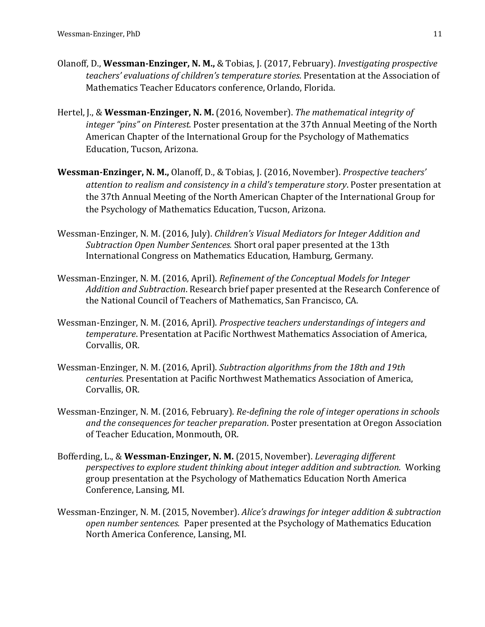- Olanoff, D., Wessman-Enzinger, N. M., & Tobias, J. (2017, February). *Investigating prospective teachers'* evaluations of children's temperature stories. Presentation at the Association of Mathematics Teacher Educators conference, Orlando, Florida.
- Hertel, J., & Wessman-Enzinger, N. M. (2016, November). The mathematical integrity of integer "pins" on Pinterest. Poster presentation at the 37th Annual Meeting of the North American Chapter of the International Group for the Psychology of Mathematics Education, Tucson, Arizona.
- **Wessman-Enzinger, N. M., Olanoff, D., & Tobias, J. (2016, November). Prospective teachers'** attention to realism and consistency in a child's temperature story. Poster presentation at the 37th Annual Meeting of the North American Chapter of the International Group for the Psychology of Mathematics Education, Tucson, Arizona.
- Wessman-Enzinger, N. M. (2016, July). *Children's Visual Mediators for Integer Addition and* Subtraction Open Number Sentences. Short oral paper presented at the 13th International Congress on Mathematics Education, Hamburg, Germany.
- Wessman-Enzinger, N. M. (2016, April). *Refinement of the Conceptual Models for Integer* Addition and Subtraction. Research brief paper presented at the Research Conference of the National Council of Teachers of Mathematics, San Francisco, CA.
- Wessman-Enzinger, N. M. (2016, April). *Prospective teachers understandings of integers and temperature*. Presentation at Pacific Northwest Mathematics Association of America, Corvallis, OR.
- Wessman-Enzinger, N. M. (2016, April). *Subtraction algorithms from the 18th and 19th centuries.* Presentation at Pacific Northwest Mathematics Association of America, Corvallis, OR.
- Wessman-Enzinger, N. M. (2016, February). *Re-defining the role of integer operations in schools and the consequences for teacher preparation*. Poster presentation at Oregon Association of Teacher Education, Monmouth, OR.
- Bofferding, L., & Wessman-Enzinger, N. M. (2015, November). *Leveraging different perspectives to explore student thinking about integer addition and subtraction.* Working group presentation at the Psychology of Mathematics Education North America Conference, Lansing, MI.
- Wessman-Enzinger, N. M. (2015, November). *Alice's drawings for integer addition & subtraction* open number sentences. Paper presented at the Psychology of Mathematics Education North America Conference, Lansing, MI.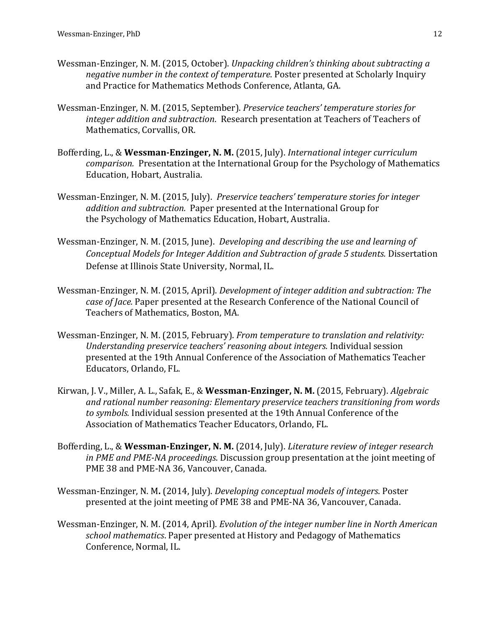- Wessman-Enzinger, N. M. (2015, October). *Unpacking children's thinking about subtracting a negative number in the context of temperature*. Poster presented at Scholarly Inquiry and Practice for Mathematics Methods Conference, Atlanta, GA.
- Wessman-Enzinger, N. M. (2015, September). *Preservice teachers' temperature stories for integer addition and subtraction.* Research presentation at Teachers of Teachers of Mathematics, Corvallis, OR.
- Bofferding, L., & Wessman-Enzinger, N. M. (2015, July). *International integer curriculum comparison.* Presentation at the International Group for the Psychology of Mathematics Education, Hobart, Australia.
- Wessman-Enzinger, N. M. (2015, July). *Preservice teachers' temperature stories for integer addition and subtraction.* Paper presented at the International Group for the Psychology of Mathematics Education, Hobart, Australia.
- Wessman-Enzinger, N. M. (2015, June). *Developing and describing the use and learning of Conceptual Models for Integer Addition and Subtraction of grade 5 students.* Dissertation Defense at Illinois State University, Normal, IL.
- Wessman-Enzinger, N. M. (2015, April). *Development of integer addition and subtraction: The case of Jace.* Paper presented at the Research Conference of the National Council of Teachers of Mathematics, Boston, MA.
- Wessman-Enzinger, N. M. (2015, February). *From temperature to translation and relativity: Understanding preservice teachers' reasoning about integers.* Individual session presented at the 19th Annual Conference of the Association of Mathematics Teacher Educators, Orlando, FL.
- Kirwan, J. V., Miller, A. L., Safak, E., & Wessman-Enzinger, N. M. (2015, February). Algebraic and rational number reasoning: Elementary preservice teachers transitioning from words to symbols. Individual session presented at the 19th Annual Conference of the Association of Mathematics Teacher Educators, Orlando, FL.
- Bofferding, L., & Wessman-Enzinger, N. M. (2014, July). *Literature review of integer research in PME and PME-NA proceedings*. Discussion group presentation at the joint meeting of PME 38 and PME-NA 36, Vancouver, Canada.
- Wessman-Enzinger, N. M. (2014, July). *Developing conceptual models of integers*. Poster presented at the joint meeting of PME 38 and PME-NA 36, Vancouver, Canada.
- Wessman-Enzinger, N. M. (2014, April). *Evolution of the integer number line in North American* school mathematics. Paper presented at History and Pedagogy of Mathematics Conference, Normal, IL.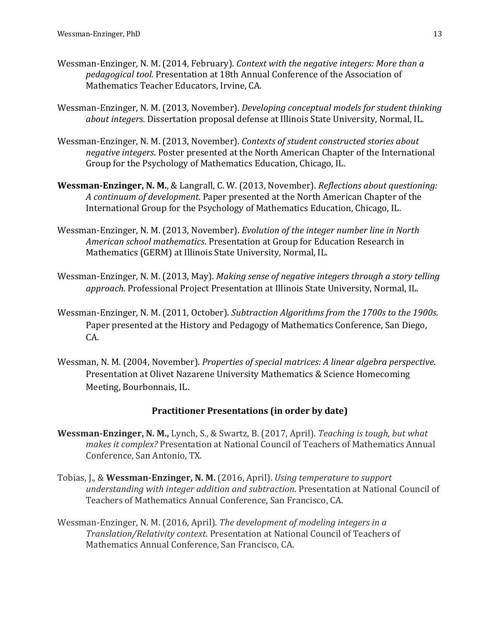- Wessman-Enzinger, N. M. (2014, February). *Context with the negative integers: More than a pedagogical tool.* Presentation at 18th Annual Conference of the Association of Mathematics Teacher Educators, Irvine, CA.
- Wessman-Enzinger, N. M. (2013, November). *Developing conceptual models for student thinking about integers*. Dissertation proposal defense at Illinois State University, Normal, IL.
- Wessman-Enzinger, N. M. (2013, November). *Contexts of student constructed stories about negative integers*. Poster presented at the North American Chapter of the International Group for the Psychology of Mathematics Education, Chicago, IL.
- **Wessman-Enzinger, N. M.**, & Langrall, C. W. (2013, November). *Reflections about questioning:* A continuum of development. Paper presented at the North American Chapter of the International Group for the Psychology of Mathematics Education, Chicago, IL.
- Wessman-Enzinger, N. M. (2013, November). *Evolution of the integer number line in North American school mathematics*. Presentation at Group for Education Research in Mathematics (GERM) at Illinois State University, Normal, IL.
- Wessman-Enzinger, N. M. (2013, May). *Making sense of negative integers through a story telling approach*. Professional Project Presentation at Illinois State University, Normal, IL.
- Wessman-Enzinger, N. M. (2011, October). *Subtraction Algorithms from the 1700s to the 1900s*. Paper presented at the History and Pedagogy of Mathematics Conference, San Diego, CA.
- Wessman, N. M. (2004, November). *Properties of special matrices: A linear algebra perspective.* Presentation at Olivet Nazarene University Mathematics & Science Homecoming Meeting, Bourbonnais, IL.

#### **Practitioner Presentations (in order by date)**

- **Wessman-Enzinger, N. M., Lynch, S., & Swartz, B. (2017, April).** Teaching is tough, but what *makes it complex?* Presentation at National Council of Teachers of Mathematics Annual Conference, San Antonio, TX.
- Tobias, J., & **Wessman-Enzinger, N. M.** (2016, April). *Using temperature to support understanding with integer addition and subtraction.* Presentation at National Council of Teachers of Mathematics Annual Conference, San Francisco, CA.
- Wessman-Enzinger, N. M. (2016, April). *The development of modeling integers in a Translation/Relativity context*. Presentation at National Council of Teachers of Mathematics Annual Conference, San Francisco, CA.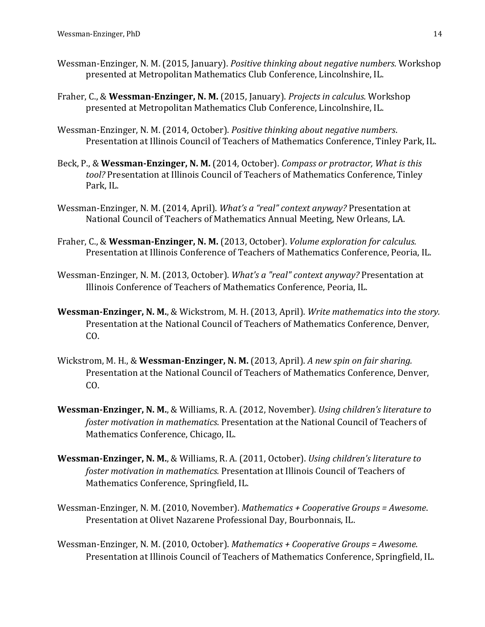- Wessman-Enzinger, N. M. (2015, January). *Positive thinking about negative numbers*. Workshop presented at Metropolitan Mathematics Club Conference, Lincolnshire, IL.
- Fraher, C., & Wessman-Enzinger, N. M. (2015, January). *Projects in calculus*. Workshop presented at Metropolitan Mathematics Club Conference, Lincolnshire, IL.
- Wessman-Enzinger, N. M. (2014, October). *Positive thinking about negative numbers.* Presentation at Illinois Council of Teachers of Mathematics Conference, Tinley Park, IL.
- Beck, P., & Wessman-Enzinger, N. M. (2014, October). *Compass or protractor, What is this* tool? Presentation at Illinois Council of Teachers of Mathematics Conference, Tinley Park, IL.
- Wessman-Enzinger, N. M. (2014, April). *What's a "real" context anyway?* Presentation at National Council of Teachers of Mathematics Annual Meeting, New Orleans, LA.
- Fraher, C., & **Wessman-Enzinger, N. M.** (2013, October). *Volume exploration for calculus.* Presentation at Illinois Conference of Teachers of Mathematics Conference, Peoria, IL.
- Wessman-Enzinger, N. M. (2013, October). *What's a "real" context anyway?* Presentation at Illinois Conference of Teachers of Mathematics Conference, Peoria, IL.
- **Wessman-Enzinger, N. M., & Wickstrom, M. H. (2013, April).** Write mathematics into the story. Presentation at the National Council of Teachers of Mathematics Conference, Denver, CO.
- Wickstrom, M. H., & Wessman-Enzinger, N. M. (2013, April). A new spin on fair sharing. Presentation at the National Council of Teachers of Mathematics Conference, Denver, CO.
- **Wessman-Enzinger, N. M., & Williams, R. A. (2012, November).** *Using children's literature to foster motivation in mathematics*. Presentation at the National Council of Teachers of Mathematics Conference, Chicago, IL.
- **Wessman-Enzinger, N. M., & Williams, R. A. (2011, October).** Using children's literature to *foster motivation in mathematics.* Presentation at Illinois Council of Teachers of Mathematics Conference, Springfield, IL.
- Wessman-Enzinger, N. M. (2010, November). *Mathematics* + *Cooperative Groups* = Awesome. Presentation at Olivet Nazarene Professional Day, Bourbonnais, IL.
- Wessman-Enzinger, N. M. (2010, October). *Mathematics* + *Cooperative Groups* = Awesome. Presentation at Illinois Council of Teachers of Mathematics Conference, Springfield, IL.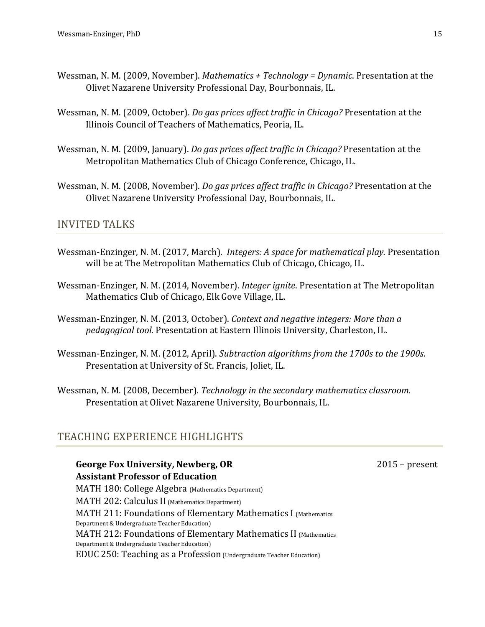- Wessman, N. M. (2009, November). *Mathematics* + Technology = Dynamic. Presentation at the Olivet Nazarene University Professional Day, Bourbonnais, IL.
- Wessman, N. M. (2009, October). *Do gas prices affect traffic in Chicago?* Presentation at the Illinois Council of Teachers of Mathematics, Peoria, IL.
- Wessman, N. M. (2009, January). *Do gas prices affect traffic in Chicago?* Presentation at the Metropolitan Mathematics Club of Chicago Conference, Chicago, IL.
- Wessman, N. M. (2008, November). *Do gas prices affect traffic in Chicago?* Presentation at the Olivet Nazarene University Professional Day, Bourbonnais, IL.

### INVITED TALKS

- Wessman-Enzinger, N. M. (2017, March). *Integers: A space for mathematical play.* Presentation will be at The Metropolitan Mathematics Club of Chicago, Chicago, IL.
- Wessman-Enzinger, N. M. (2014, November). *Integer ignite*. Presentation at The Metropolitan Mathematics Club of Chicago, Elk Gove Village, IL.
- Wessman-Enzinger, N. M. (2013, October). *Context and negative integers: More than a pedagogical tool.* Presentation at Eastern Illinois University, Charleston, IL.
- Wessman-Enzinger, N. M. (2012, April). *Subtraction algorithms from the 1700s to the 1900s.* Presentation at University of St. Francis, Joliet, IL.
- Wessman, N. M. (2008, December). *Technology in the secondary mathematics classroom.* Presentation at Olivet Nazarene University, Bourbonnais, IL.

## TEACHING EXPERIENCE HIGHLIGHTS

**George Fox University, Newberg, OR Assistant Professor of Education** MATH 180: College Algebra (Mathematics Department) MATH 202: Calculus II (Mathematics Department) MATH 211: Foundations of Elementary Mathematics I (Mathematics

Department & Undergraduate Teacher Education) MATH 212: Foundations of Elementary Mathematics II (Mathematics Department & Undergraduate Teacher Education)

EDUC 250: Teaching as a Profession (Undergraduate Teacher Education)

 $2015$  – present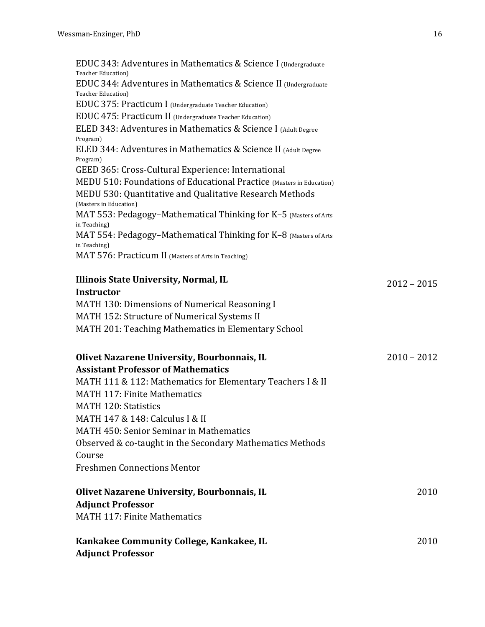| EDUC 343: Adventures in Mathematics & Science I (Undergraduate<br><b>Teacher Education</b> )<br>EDUC 344: Adventures in Mathematics & Science II (Undergraduate<br><b>Teacher Education</b> ) |               |
|-----------------------------------------------------------------------------------------------------------------------------------------------------------------------------------------------|---------------|
| EDUC 375: Practicum I (Undergraduate Teacher Education)                                                                                                                                       |               |
| EDUC 475: Practicum II (Undergraduate Teacher Education)                                                                                                                                      |               |
| ELED 343: Adventures in Mathematics & Science I (Adult Degree<br>Program)                                                                                                                     |               |
| ELED 344: Adventures in Mathematics & Science II (Adult Degree<br>Program)                                                                                                                    |               |
| GEED 365: Cross-Cultural Experience: International                                                                                                                                            |               |
| MEDU 510: Foundations of Educational Practice (Masters in Education)                                                                                                                          |               |
| MEDU 530: Quantitative and Qualitative Research Methods<br>(Masters in Education)                                                                                                             |               |
| MAT 553: Pedagogy-Mathematical Thinking for K-5 (Masters of Arts<br>in Teaching)                                                                                                              |               |
| MAT 554: Pedagogy-Mathematical Thinking for K-8 (Masters of Arts<br>in Teaching)                                                                                                              |               |
| MAT 576: Practicum II (Masters of Arts in Teaching)                                                                                                                                           |               |
| Illinois State University, Normal, IL                                                                                                                                                         | $2012 - 2015$ |
| Instructor                                                                                                                                                                                    |               |
| MATH 130: Dimensions of Numerical Reasoning I                                                                                                                                                 |               |
| MATH 152: Structure of Numerical Systems II                                                                                                                                                   |               |
| MATH 201: Teaching Mathematics in Elementary School                                                                                                                                           |               |
| Olivet Nazarene University, Bourbonnais, IL                                                                                                                                                   | $2010 - 2012$ |
| <b>Assistant Professor of Mathematics</b>                                                                                                                                                     |               |
| MATH 111 & 112: Mathematics for Elementary Teachers I & II                                                                                                                                    |               |
| <b>MATH 117: Finite Mathematics</b>                                                                                                                                                           |               |
| <b>MATH 120: Statistics</b>                                                                                                                                                                   |               |
| MATH 147 & 148: Calculus I & II                                                                                                                                                               |               |
| MATH 450: Senior Seminar in Mathematics                                                                                                                                                       |               |
|                                                                                                                                                                                               |               |
| Observed & co-taught in the Secondary Mathematics Methods                                                                                                                                     |               |
| Course                                                                                                                                                                                        |               |

Freshmen Connections Mentor

#### **Olivet Nazarene University, Bourbonnais, IL Adjunct Professor** 2010 MATH 117: Finite Mathematics

### **Kankakee Community College, Kankakee, IL Adjunct Professor**

2010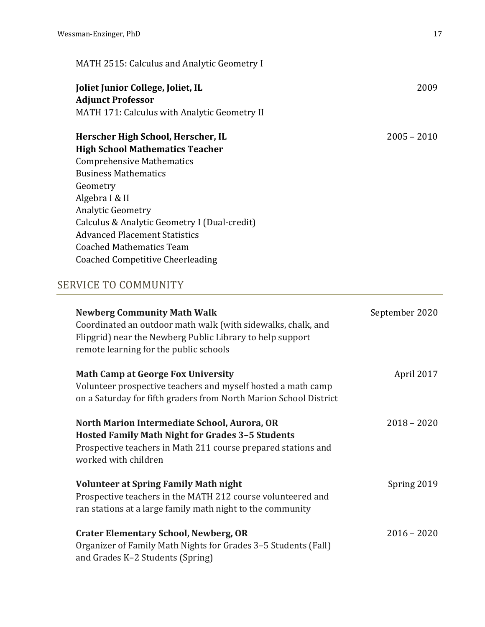MATH 2515: Calculus and Analytic Geometry I

## **Joliet Junior College, Joliet, IL Adjunct Professor** MATH 171: Calculus with Analytic Geometry II

| Herscher High School, Herscher, IL           | $2005 - 2010$ |
|----------------------------------------------|---------------|
| <b>High School Mathematics Teacher</b>       |               |
| <b>Comprehensive Mathematics</b>             |               |
| <b>Business Mathematics</b>                  |               |
| Geometry                                     |               |
| Algebra I & II                               |               |
| <b>Analytic Geometry</b>                     |               |
| Calculus & Analytic Geometry I (Dual-credit) |               |
| <b>Advanced Placement Statistics</b>         |               |
| <b>Coached Mathematics Team</b>              |               |
| Coached Competitive Cheerleading             |               |

## SERVICE TO COMMUNITY

| <b>Newberg Community Math Walk</b><br>Coordinated an outdoor math walk (with sidewalks, chalk, and<br>Flipgrid) near the Newberg Public Library to help support<br>remote learning for the public schools | September 2020 |
|-----------------------------------------------------------------------------------------------------------------------------------------------------------------------------------------------------------|----------------|
| <b>Math Camp at George Fox University</b><br>Volunteer prospective teachers and myself hosted a math camp<br>on a Saturday for fifth graders from North Marion School District                            | April 2017     |
| North Marion Intermediate School, Aurora, OR<br><b>Hosted Family Math Night for Grades 3-5 Students</b><br>Prospective teachers in Math 211 course prepared stations and<br>worked with children          | $2018 - 2020$  |
| <b>Volunteer at Spring Family Math night</b><br>Prospective teachers in the MATH 212 course volunteered and<br>ran stations at a large family math night to the community                                 | Spring 2019    |
| <b>Crater Elementary School, Newberg, OR</b><br>Organizer of Family Math Nights for Grades 3-5 Students (Fall)<br>and Grades K-2 Students (Spring)                                                        | $2016 - 2020$  |

2009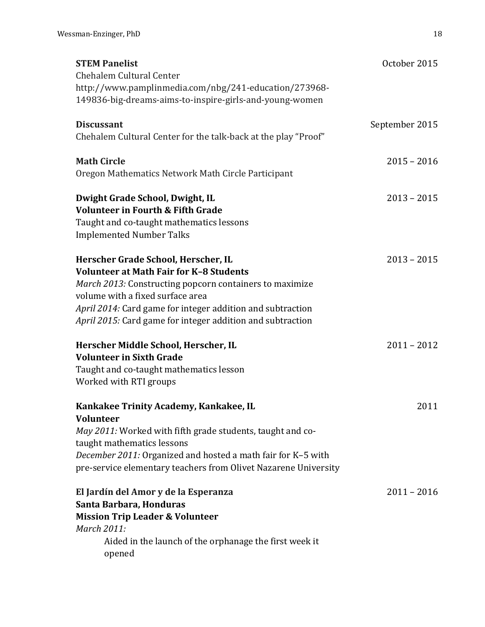| <b>STEM Panelist</b>                                            | October 2015   |
|-----------------------------------------------------------------|----------------|
| Chehalem Cultural Center                                        |                |
| http://www.pamplinmedia.com/nbg/241-education/273968-           |                |
| 149836-big-dreams-aims-to-inspire-girls-and-young-women         |                |
| <b>Discussant</b>                                               | September 2015 |
| Chehalem Cultural Center for the talk-back at the play "Proof"  |                |
|                                                                 |                |
| <b>Math Circle</b>                                              | $2015 - 2016$  |
| Oregon Mathematics Network Math Circle Participant              |                |
| Dwight Grade School, Dwight, IL                                 | $2013 - 2015$  |
| <b>Volunteer in Fourth &amp; Fifth Grade</b>                    |                |
| Taught and co-taught mathematics lessons                        |                |
| <b>Implemented Number Talks</b>                                 |                |
|                                                                 |                |
| Herscher Grade School, Herscher, IL                             | $2013 - 2015$  |
| <b>Volunteer at Math Fair for K-8 Students</b>                  |                |
| March 2013: Constructing popcorn containers to maximize         |                |
| volume with a fixed surface area                                |                |
| April 2014: Card game for integer addition and subtraction      |                |
| April 2015: Card game for integer addition and subtraction      |                |
| Herscher Middle School, Herscher, IL                            | $2011 - 2012$  |
| <b>Volunteer in Sixth Grade</b>                                 |                |
| Taught and co-taught mathematics lesson                         |                |
| Worked with RTI groups                                          |                |
|                                                                 |                |
| Kankakee Trinity Academy, Kankakee, IL<br><b>Volunteer</b>      | 2011           |
| May 2011: Worked with fifth grade students, taught and co-      |                |
| taught mathematics lessons                                      |                |
| December 2011: Organized and hosted a math fair for K-5 with    |                |
| pre-service elementary teachers from Olivet Nazarene University |                |
|                                                                 |                |
| El Jardín del Amor y de la Esperanza                            | $2011 - 2016$  |
| Santa Barbara, Honduras                                         |                |
| <b>Mission Trip Leader &amp; Volunteer</b>                      |                |
| <b>March 2011:</b>                                              |                |
| Aided in the launch of the orphanage the first week it          |                |
| opened                                                          |                |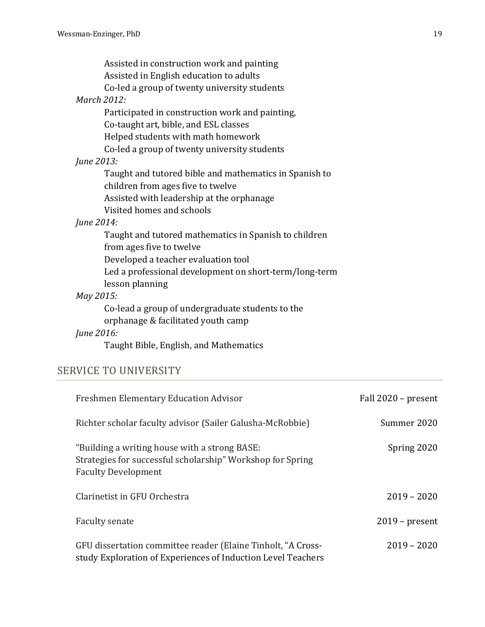|                    | Assisted in construction work and painting             |
|--------------------|--------------------------------------------------------|
|                    | Assisted in English education to adults                |
|                    | Co-led a group of twenty university students           |
| <b>March 2012:</b> |                                                        |
|                    | Participated in construction work and painting,        |
|                    | Co-taught art, bible, and ESL classes                  |
|                    | Helped students with math homework                     |
|                    | Co-led a group of twenty university students           |
| June 2013:         |                                                        |
|                    | Taught and tutored bible and mathematics in Spanish to |
|                    | children from ages five to twelve                      |
|                    | Assisted with leadership at the orphanage              |
|                    | Visited homes and schools                              |
| June 2014:         |                                                        |
|                    | Taught and tutored mathematics in Spanish to children  |
|                    | from ages five to twelve                               |
|                    | Developed a teacher evaluation tool                    |
|                    | Led a professional development on short-term/long-term |
|                    | lesson planning                                        |
| May 2015:          |                                                        |
|                    | Co-lead a group of undergraduate students to the       |
|                    | orphanage & facilitated youth camp                     |
| June 2016:         |                                                        |
|                    | Taught Bible, English, and Mathematics                 |
|                    |                                                        |

## SERVICE TO UNIVERSITY

| <b>Freshmen Elementary Education Advisor</b>                                                                                              | Fall 2020 – present |
|-------------------------------------------------------------------------------------------------------------------------------------------|---------------------|
| Richter scholar faculty advisor (Sailer Galusha-McRobbie)                                                                                 | Summer 2020         |
| "Building a writing house with a strong BASE:<br>Strategies for successful scholarship" Workshop for Spring<br><b>Faculty Development</b> | Spring 2020         |
| Clarinetist in GFU Orchestra                                                                                                              | $2019 - 2020$       |
| Faculty senate                                                                                                                            | $2019$ – present    |
| GFU dissertation committee reader (Elaine Tinholt, "A Cross-<br>study Exploration of Experiences of Induction Level Teachers              | $2019 - 2020$       |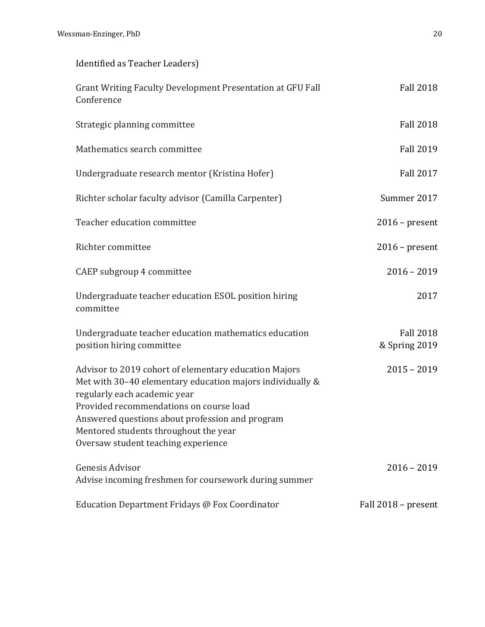| Identified as Teacher Leaders)                                                                                                                                                                                                                                                                                                   |                                   |
|----------------------------------------------------------------------------------------------------------------------------------------------------------------------------------------------------------------------------------------------------------------------------------------------------------------------------------|-----------------------------------|
| Grant Writing Faculty Development Presentation at GFU Fall<br>Conference                                                                                                                                                                                                                                                         | <b>Fall 2018</b>                  |
| Strategic planning committee                                                                                                                                                                                                                                                                                                     | <b>Fall 2018</b>                  |
| Mathematics search committee                                                                                                                                                                                                                                                                                                     | <b>Fall 2019</b>                  |
| Undergraduate research mentor (Kristina Hofer)                                                                                                                                                                                                                                                                                   | <b>Fall 2017</b>                  |
| Richter scholar faculty advisor (Camilla Carpenter)                                                                                                                                                                                                                                                                              | Summer 2017                       |
| Teacher education committee                                                                                                                                                                                                                                                                                                      | $2016$ – present                  |
| Richter committee                                                                                                                                                                                                                                                                                                                | $2016$ – present                  |
| CAEP subgroup 4 committee                                                                                                                                                                                                                                                                                                        | $2016 - 2019$                     |
| Undergraduate teacher education ESOL position hiring<br>committee                                                                                                                                                                                                                                                                | 2017                              |
| Undergraduate teacher education mathematics education<br>position hiring committee                                                                                                                                                                                                                                               | <b>Fall 2018</b><br>& Spring 2019 |
| Advisor to 2019 cohort of elementary education Majors<br>Met with 30-40 elementary education majors individually &<br>regularly each academic year<br>Provided recommendations on course load<br>Answered questions about profession and program<br>Mentored students throughout the year<br>Oversaw student teaching experience | $2015 - 2019$                     |
| Genesis Advisor<br>Advise incoming freshmen for coursework during summer                                                                                                                                                                                                                                                         | $2016 - 2019$                     |
| Education Department Fridays @ Fox Coordinator                                                                                                                                                                                                                                                                                   | Fall 2018 - present               |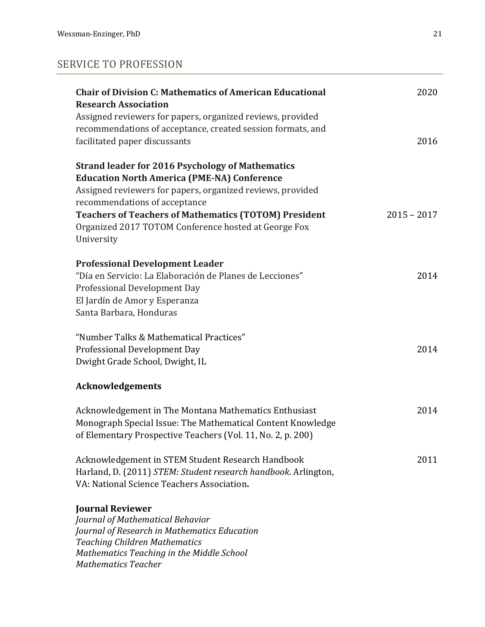## SERVICE TO PROFESSION

| <b>Chair of Division C: Mathematics of American Educational</b><br><b>Research Association</b><br>Assigned reviewers for papers, organized reviews, provided                                                                                                                                                                                       | 2020          |
|----------------------------------------------------------------------------------------------------------------------------------------------------------------------------------------------------------------------------------------------------------------------------------------------------------------------------------------------------|---------------|
| recommendations of acceptance, created session formats, and<br>facilitated paper discussants                                                                                                                                                                                                                                                       | 2016          |
| <b>Strand leader for 2016 Psychology of Mathematics</b><br><b>Education North America (PME-NA) Conference</b><br>Assigned reviewers for papers, organized reviews, provided<br>recommendations of acceptance<br><b>Teachers of Teachers of Mathematics (TOTOM) President</b><br>Organized 2017 TOTOM Conference hosted at George Fox<br>University | $2015 - 2017$ |
| <b>Professional Development Leader</b><br>"Día en Servicio: La Elaboración de Planes de Lecciones"<br>Professional Development Day<br>El Jardín de Amor y Esperanza<br>Santa Barbara, Honduras                                                                                                                                                     | 2014          |
| "Number Talks & Mathematical Practices"<br>Professional Development Day<br>Dwight Grade School, Dwight, IL                                                                                                                                                                                                                                         | 2014          |
| <b>Acknowledgements</b>                                                                                                                                                                                                                                                                                                                            |               |
| Acknowledgement in The Montana Mathematics Enthusiast<br>Monograph Special Issue: The Mathematical Content Knowledge<br>of Elementary Prospective Teachers (Vol. 11, No. 2, p. 200)                                                                                                                                                                | 2014          |
| Acknowledgement in STEM Student Research Handbook<br>Harland, D. (2011) STEM: Student research handbook. Arlington,<br>VA: National Science Teachers Association.                                                                                                                                                                                  | 2011          |
| <b>Journal Reviewer</b><br>Journal of Mathematical Behavior<br>Journal of Research in Mathematics Education<br><b>Teaching Children Mathematics</b><br>Mathematics Teaching in the Middle School<br><b>Mathematics Teacher</b>                                                                                                                     |               |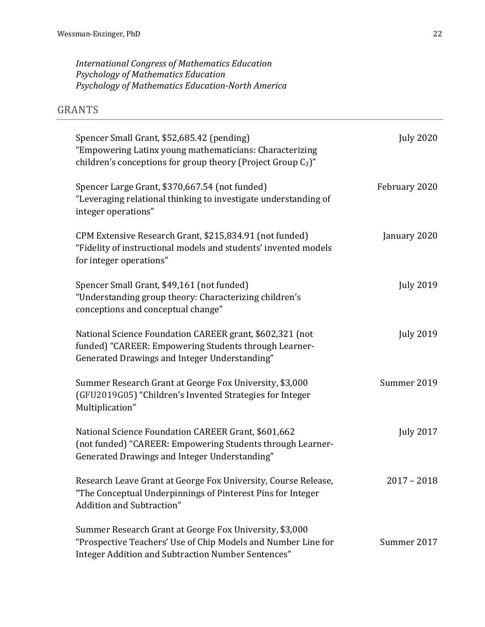*International Congress of Mathematics Education Psychology of Mathematics Education*  Psychology of Mathematics Education-North America

## GRANTS

| Spencer Small Grant, \$52,685.42 (pending)<br>"Empowering Latinx young mathematicians: Characterizing<br>children's conceptions for group theory (Project Group $C_3$ )"       | <b>July 2020</b> |
|--------------------------------------------------------------------------------------------------------------------------------------------------------------------------------|------------------|
| Spencer Large Grant, \$370,667.54 (not funded)<br>"Leveraging relational thinking to investigate understanding of<br>integer operations"                                       | February 2020    |
| CPM Extensive Research Grant, \$215,834.91 (not funded)<br>"Fidelity of instructional models and students' invented models<br>for integer operations"                          | January 2020     |
| Spencer Small Grant, \$49,161 (not funded)<br>"Understanding group theory: Characterizing children's<br>conceptions and conceptual change"                                     | <b>July 2019</b> |
| National Science Foundation CAREER grant, \$602,321 (not<br>funded) "CAREER: Empowering Students through Learner-<br>Generated Drawings and Integer Understanding"             | <b>July 2019</b> |
| Summer Research Grant at George Fox University, \$3,000<br>(GFU2019G05) "Children's Invented Strategies for Integer<br>Multiplication"                                         | Summer 2019      |
| National Science Foundation CAREER Grant, \$601,662<br>(not funded) "CAREER: Empowering Students through Learner-<br>Generated Drawings and Integer Understanding"             | <b>July 2017</b> |
| Research Leave Grant at George Fox University, Course Release,<br>"The Conceptual Underpinnings of Pinterest Pins for Integer<br>Addition and Subtraction"                     | $2017 - 2018$    |
| Summer Research Grant at George Fox University, \$3,000<br>"Prospective Teachers' Use of Chip Models and Number Line for<br>Integer Addition and Subtraction Number Sentences" | Summer 2017      |